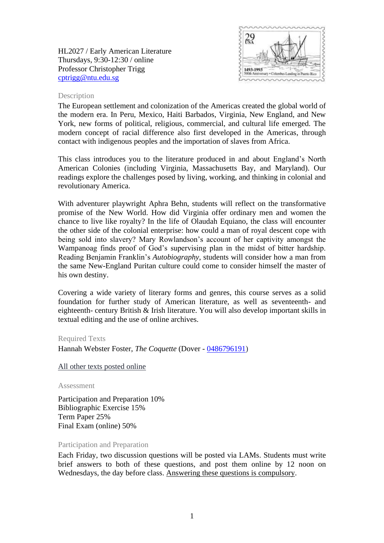HL2027 / Early American Literature Thursdays, 9:30-12:30 / online Professor Christopher Trigg [cptrigg@ntu.edu.sg](mailto:cptrigg@ntu.edu.sg)



### Description

The European settlement and colonization of the Americas created the global world of the modern era. In Peru, Mexico, Haiti Barbados, Virginia, New England, and New York, new forms of political, religious, commercial, and cultural life emerged. The modern concept of racial difference also first developed in the Americas, through contact with indigenous peoples and the importation of slaves from Africa.

This class introduces you to the literature produced in and about England's North American Colonies (including Virginia, Massachusetts Bay, and Maryland). Our readings explore the challenges posed by living, working, and thinking in colonial and revolutionary America.

With adventurer playwright Aphra Behn, students will reflect on the transformative promise of the New World. How did Virginia offer ordinary men and women the chance to live like royalty? In the life of Olaudah Equiano, the class will encounter the other side of the colonial enterprise: how could a man of royal descent cope with being sold into slavery? Mary Rowlandson's account of her captivity amongst the Wampanoag finds proof of God's supervising plan in the midst of bitter hardship. Reading Benjamin Franklin's *Autobiography*, students will consider how a man from the same New-England Puritan culture could come to consider himself the master of his own destiny.

Covering a wide variety of literary forms and genres, this course serves as a solid foundation for further study of American literature, as well as seventeenth- and eighteenth- century British & Irish literature. You will also develop important skills in textual editing and the use of online archives.

#### Required Texts

Hannah Webster Foster, *The Coquette* (Dover - [0486796191\)](http://opentrolley.com.sg/BookDetails.aspx?BookID=13830159)

All other texts posted online

Assessment

Participation and Preparation 10% Bibliographic Exercise 15% Term Paper 25% Final Exam (online) 50%

#### Participation and Preparation

Each Friday, two discussion questions will be posted via LAMs. Students must write brief answers to both of these questions, and post them online by 12 noon on Wednesdays, the day before class. Answering these questions is compulsory.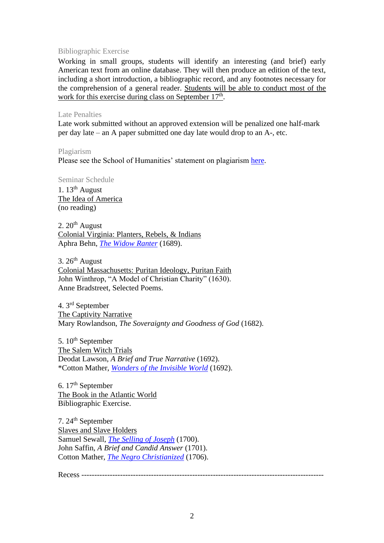# Bibliographic Exercise

Working in small groups, students will identify an interesting (and brief) early American text from an online database. They will then produce an edition of the text, including a short introduction, a bibliographic record, and any footnotes necessary for the comprehension of a general reader. Students will be able to conduct most of the work for this exercise during class on September 17<sup>th</sup>.

## Late Penalties

Late work submitted without an approved extension will be penalized one half-mark per day late – an A paper submitted one day late would drop to an A-, etc.

Plagiarism Please see the School of Humanities' statement on plagiarism [here.](http://www.soh.ntu.edu.sg/Programmes/Undergraduate/current/Pages/forms.aspx)

Seminar Schedule 1.  $13<sup>th</sup>$  August The Idea of America (no reading)

2. 20<sup>th</sup> August Colonial Virginia: Planters, Rebels, & Indians Aphra Behn, *[The Widow Ranter](https://digitalcommons.unl.edu/cgi/viewcontent.cgi?article=1045&context=etas)* (1689).

3. 26<sup>th</sup> August Colonial Massachusetts: Puritan Ideology, Puritan Faith John Winthrop, "A Model of Christian Charity" (1630). Anne Bradstreet, Selected Poems.

4. 3 rd September The Captivity Narrative Mary Rowlandson, *The Soveraignty and Goodness of God* (1682).

5. 10<sup>th</sup> September The Salem Witch Trials Deodat Lawson, *A Brief and True Narrative* (1692). \*Cotton Mather, *[Wonders of the Invisible World](https://digitalcommons.unl.edu/cgi/viewcontent.cgi?article=1053&context=etas)* (1692).

6. 17<sup>th</sup> September The Book in the Atlantic World Bibliographic Exercise.

7. 24<sup>th</sup> September Slaves and Slave Holders Samuel Sewall, *[The Selling of Joseph](https://digitalcommons.unl.edu/cgi/viewcontent.cgi?article=1026&context=etas)* (1700). John Saffin, *A Brief and Candid Answer* (1701). Cotton Mather, *[The Negro Christianized](https://digitalcommons.unl.edu/cgi/viewcontent.cgi?article=1028&context=etas)* (1706).

Recess ----------------------------------------------------------------------------------------------